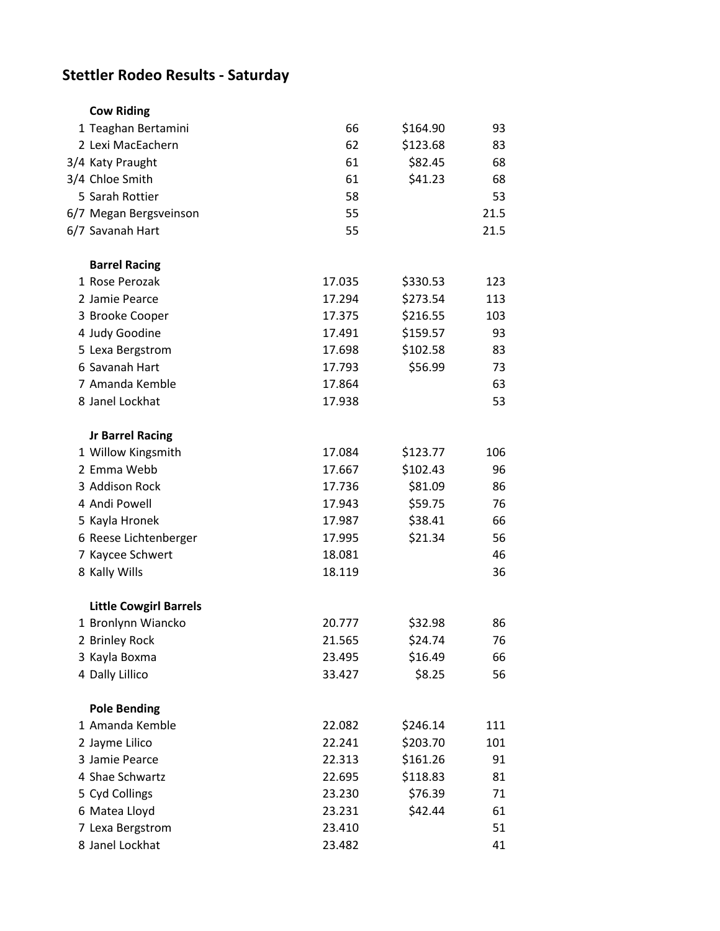## **Stettler Rodeo Results - Saturday**

| <b>Cow Riding</b>             |        |          |      |
|-------------------------------|--------|----------|------|
| 1 Teaghan Bertamini           | 66     | \$164.90 | 93   |
| 2 Lexi MacEachern             | 62     | \$123.68 | 83   |
| 3/4 Katy Praught              | 61     | \$82.45  | 68   |
| 3/4 Chloe Smith               | 61     | \$41.23  | 68   |
| 5 Sarah Rottier               | 58     |          | 53   |
| 6/7 Megan Bergsveinson        | 55     |          | 21.5 |
| 6/7 Savanah Hart              | 55     |          | 21.5 |
| <b>Barrel Racing</b>          |        |          |      |
| 1 Rose Perozak                | 17.035 | \$330.53 | 123  |
| 2 Jamie Pearce                | 17.294 | \$273.54 | 113  |
| 3 Brooke Cooper               | 17.375 | \$216.55 | 103  |
| 4 Judy Goodine                | 17.491 | \$159.57 | 93   |
| 5 Lexa Bergstrom              | 17.698 | \$102.58 | 83   |
| 6 Savanah Hart                | 17.793 | \$56.99  | 73   |
| 7 Amanda Kemble               | 17.864 |          | 63   |
| 8 Janel Lockhat               | 17.938 |          | 53   |
| <b>Jr Barrel Racing</b>       |        |          |      |
| 1 Willow Kingsmith            | 17.084 | \$123.77 | 106  |
| 2 Emma Webb                   | 17.667 | \$102.43 | 96   |
| 3 Addison Rock                | 17.736 | \$81.09  | 86   |
| 4 Andi Powell                 | 17.943 | \$59.75  | 76   |
| 5 Kayla Hronek                | 17.987 | \$38.41  | 66   |
| 6 Reese Lichtenberger         | 17.995 | \$21.34  | 56   |
| 7 Kaycee Schwert              | 18.081 |          | 46   |
| 8 Kally Wills                 | 18.119 |          | 36   |
| <b>Little Cowgirl Barrels</b> |        |          |      |
| 1 Bronlynn Wiancko            | 20.777 | \$32.98  | 86   |
| 2 Brinley Rock                | 21.565 | \$24.74  | 76   |
| 3 Kayla Boxma                 | 23.495 | \$16.49  | 66   |
| 4 Dally Lillico               | 33.427 | \$8.25   | 56   |
| <b>Pole Bending</b>           |        |          |      |
| 1 Amanda Kemble               | 22.082 | \$246.14 | 111  |
| 2 Jayme Lilico                | 22.241 | \$203.70 | 101  |
| 3 Jamie Pearce                | 22.313 | \$161.26 | 91   |
| 4 Shae Schwartz               | 22.695 | \$118.83 | 81   |
| 5 Cyd Collings                | 23.230 | \$76.39  | 71   |
| 6 Matea Lloyd                 | 23.231 | \$42.44  | 61   |
| 7 Lexa Bergstrom              | 23.410 |          | 51   |
| 8 Janel Lockhat               | 23.482 |          | 41   |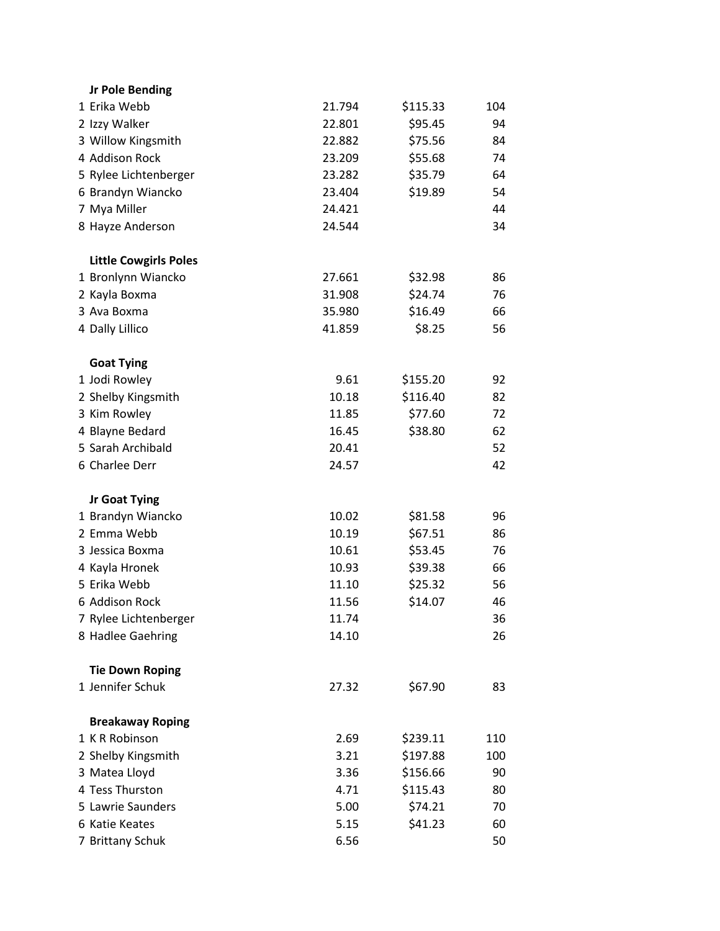| <b>Jr Pole Bending</b>       |        |          |     |
|------------------------------|--------|----------|-----|
| 1 Erika Webb                 | 21.794 | \$115.33 | 104 |
| 2 Izzy Walker                | 22.801 | \$95.45  | 94  |
| 3 Willow Kingsmith           | 22.882 | \$75.56  | 84  |
| 4 Addison Rock               | 23.209 | \$55.68  | 74  |
| 5 Rylee Lichtenberger        | 23.282 | \$35.79  | 64  |
| 6 Brandyn Wiancko            | 23.404 | \$19.89  | 54  |
| 7 Mya Miller                 | 24.421 |          | 44  |
| 8 Hayze Anderson             | 24.544 |          | 34  |
| <b>Little Cowgirls Poles</b> |        |          |     |
| 1 Bronlynn Wiancko           | 27.661 | \$32.98  | 86  |
| 2 Kayla Boxma                | 31.908 | \$24.74  | 76  |
| 3 Ava Boxma                  | 35.980 | \$16.49  | 66  |
| 4 Dally Lillico              | 41.859 | \$8.25   | 56  |
| <b>Goat Tying</b>            |        |          |     |
| 1 Jodi Rowley                | 9.61   | \$155.20 | 92  |
| 2 Shelby Kingsmith           | 10.18  | \$116.40 | 82  |
| 3 Kim Rowley                 | 11.85  | \$77.60  | 72  |
| 4 Blayne Bedard              | 16.45  | \$38.80  | 62  |
| 5 Sarah Archibald            | 20.41  |          | 52  |
| 6 Charlee Derr               | 24.57  |          | 42  |
| <b>Jr Goat Tying</b>         |        |          |     |
| 1 Brandyn Wiancko            | 10.02  | \$81.58  | 96  |
| 2 Emma Webb                  | 10.19  | \$67.51  | 86  |
| 3 Jessica Boxma              | 10.61  | \$53.45  | 76  |
| 4 Kayla Hronek               | 10.93  | \$39.38  | 66  |
| 5 Erika Webb                 | 11.10  | \$25.32  | 56  |
| 6 Addison Rock               | 11.56  | \$14.07  | 46  |
| 7 Rylee Lichtenberger        | 11.74  |          | 36  |
| 8 Hadlee Gaehring            | 14.10  |          | 26  |
| <b>Tie Down Roping</b>       |        |          |     |
| 1 Jennifer Schuk             | 27.32  | \$67.90  | 83  |
| <b>Breakaway Roping</b>      |        |          |     |
| 1 K R Robinson               | 2.69   | \$239.11 | 110 |
| 2 Shelby Kingsmith           | 3.21   | \$197.88 | 100 |
| 3 Matea Lloyd                | 3.36   | \$156.66 | 90  |
| 4 Tess Thurston              | 4.71   | \$115.43 | 80  |
| 5 Lawrie Saunders            | 5.00   | \$74.21  | 70  |
| 6 Katie Keates               | 5.15   | \$41.23  | 60  |
| 7 Brittany Schuk             | 6.56   |          | 50  |